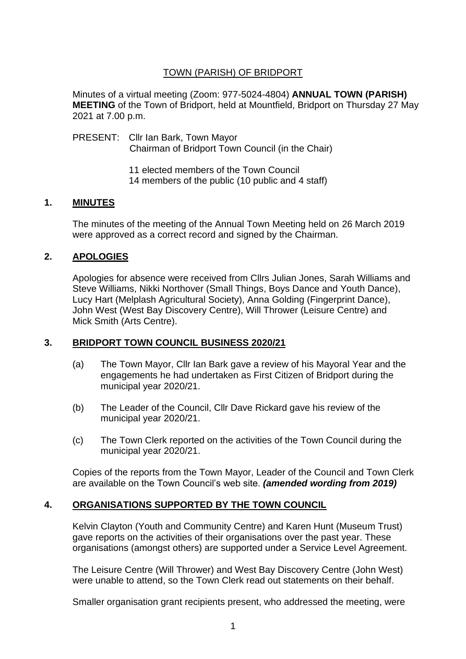## TOWN (PARISH) OF BRIDPORT

Minutes of a virtual meeting (Zoom: 977-5024-4804) **ANNUAL TOWN (PARISH) MEETING** of the Town of Bridport, held at Mountfield, Bridport on Thursday 27 May 2021 at 7.00 p.m.

PRESENT: Cllr Ian Bark, Town Mayor Chairman of Bridport Town Council (in the Chair)

> 11 elected members of the Town Council 14 members of the public (10 public and 4 staff)

## **1. MINUTES**

The minutes of the meeting of the Annual Town Meeting held on 26 March 2019 were approved as a correct record and signed by the Chairman.

# **2. APOLOGIES**

Apologies for absence were received from Cllrs Julian Jones, Sarah Williams and Steve Williams, Nikki Northover (Small Things, Boys Dance and Youth Dance), Lucy Hart (Melplash Agricultural Society), Anna Golding (Fingerprint Dance), John West (West Bay Discovery Centre), Will Thrower (Leisure Centre) and Mick Smith (Arts Centre).

## **3. BRIDPORT TOWN COUNCIL BUSINESS 2020/21**

- (a) The Town Mayor, Cllr Ian Bark gave a review of his Mayoral Year and the engagements he had undertaken as First Citizen of Bridport during the municipal year 2020/21.
- (b) The Leader of the Council, Cllr Dave Rickard gave his review of the municipal year 2020/21.
- (c) The Town Clerk reported on the activities of the Town Council during the municipal year 2020/21.

Copies of the reports from the Town Mayor, Leader of the Council and Town Clerk are available on the Town Council's web site. *(amended wording from 2019)*

## **4. ORGANISATIONS SUPPORTED BY THE TOWN COUNCIL**

Kelvin Clayton (Youth and Community Centre) and Karen Hunt (Museum Trust) gave reports on the activities of their organisations over the past year. These organisations (amongst others) are supported under a Service Level Agreement.

The Leisure Centre (Will Thrower) and West Bay Discovery Centre (John West) were unable to attend, so the Town Clerk read out statements on their behalf.

Smaller organisation grant recipients present, who addressed the meeting, were